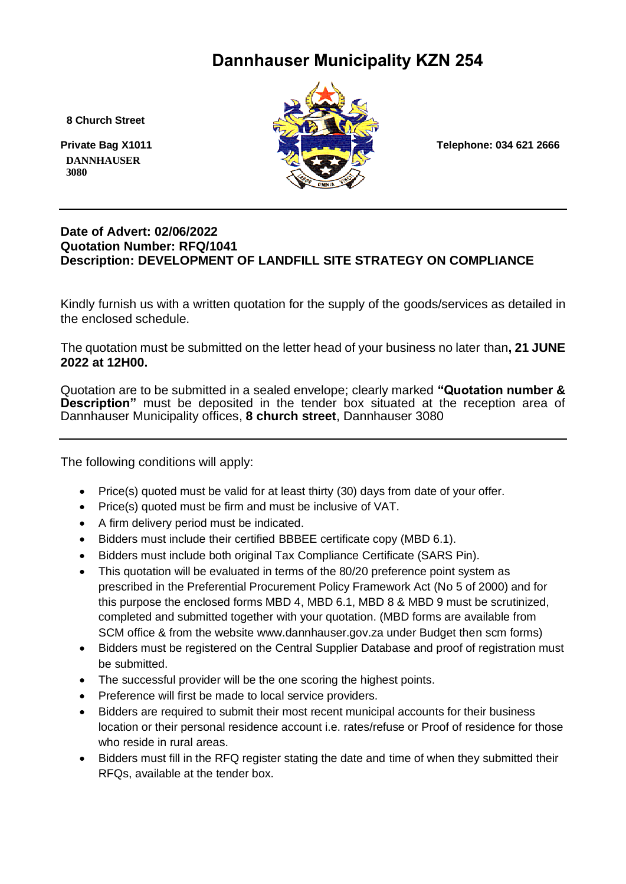### **Dannhauser Municipality KZN 254**

 **8 Church Street**

 **DANNHAUSER 3080** 



#### **Date of Advert: 02/06/2022 Quotation Number: RFQ/1041 Description: DEVELOPMENT OF LANDFILL SITE STRATEGY ON COMPLIANCE**

Kindly furnish us with a written quotation for the supply of the goods/services as detailed in the enclosed schedule.

The quotation must be submitted on the letter head of your business no later than**, 21 JUNE 2022 at 12H00.**

Quotation are to be submitted in a sealed envelope; clearly marked **"Quotation number & Description"** must be deposited in the tender box situated at the reception area of Dannhauser Municipality offices, **8 church street**, Dannhauser 3080

The following conditions will apply:

- Price(s) quoted must be valid for at least thirty (30) days from date of your offer.
- Price(s) quoted must be firm and must be inclusive of VAT.
- A firm delivery period must be indicated.
- Bidders must include their certified BBBEE certificate copy (MBD 6.1).
- Bidders must include both original Tax Compliance Certificate (SARS Pin).
- This quotation will be evaluated in terms of the 80/20 preference point system as prescribed in the Preferential Procurement Policy Framework Act (No 5 of 2000) and for this purpose the enclosed forms MBD 4, MBD 6.1, MBD 8 & MBD 9 must be scrutinized, completed and submitted together with your quotation. (MBD forms are available from SCM office & from the website www.dannhauser.gov.za under Budget then scm forms)
- Bidders must be registered on the Central Supplier Database and proof of registration must be submitted.
- The successful provider will be the one scoring the highest points.
- Preference will first be made to local service providers.
- Bidders are required to submit their most recent municipal accounts for their business location or their personal residence account i.e. rates/refuse or Proof of residence for those who reside in rural areas.
- Bidders must fill in the RFQ register stating the date and time of when they submitted their RFQs, available at the tender box.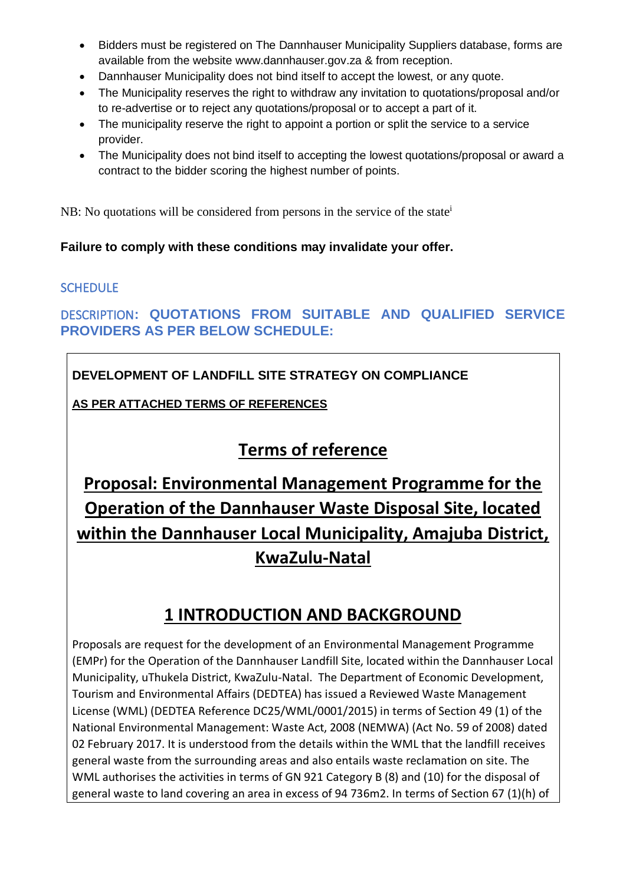- Bidders must be registered on The Dannhauser Municipality Suppliers database, forms are available from the website www.dannhauser.gov.za & from reception.
- Dannhauser Municipality does not bind itself to accept the lowest, or any quote.
- The Municipality reserves the right to withdraw any invitation to quotations/proposal and/or to re-advertise or to reject any quotations/proposal or to accept a part of it.
- The municipality reserve the right to appoint a portion or split the service to a service provider.
- The Municipality does not bind itself to accepting the lowest quotations/proposal or award a contract to the bidder scoring the highest number of points.

NB: No quotations will be considered from persons in the service of the state<sup>i</sup>

#### **Failure to comply with these conditions may invalidate your offer.**

#### **SCHEDULE**

DESCRIPTION**: QUOTATIONS FROM SUITABLE AND QUALIFIED SERVICE PROVIDERS AS PER BELOW SCHEDULE:** 

#### **DEVELOPMENT OF LANDFILL SITE STRATEGY ON COMPLIANCE**

**AS PER ATTACHED TERMS OF REFERENCES**

## **Terms of reference**

# **Proposal: Environmental Management Programme for the Operation of the Dannhauser Waste Disposal Site, located within the Dannhauser Local Municipality, Amajuba District, KwaZulu-Natal**

### **1 INTRODUCTION AND BACKGROUND**

Proposals are request for the development of an Environmental Management Programme (EMPr) for the Operation of the Dannhauser Landfill Site, located within the Dannhauser Local Municipality, uThukela District, KwaZulu-Natal. The Department of Economic Development, Tourism and Environmental Affairs (DEDTEA) has issued a Reviewed Waste Management License (WML) (DEDTEA Reference DC25/WML/0001/2015) in terms of Section 49 (1) of the National Environmental Management: Waste Act, 2008 (NEMWA) (Act No. 59 of 2008) dated 02 February 2017. It is understood from the details within the WML that the landfill receives general waste from the surrounding areas and also entails waste reclamation on site. The WML authorises the activities in terms of GN 921 Category B (8) and (10) for the disposal of general waste to land covering an area in excess of 94 736m2. In terms of Section 67 (1)(h) of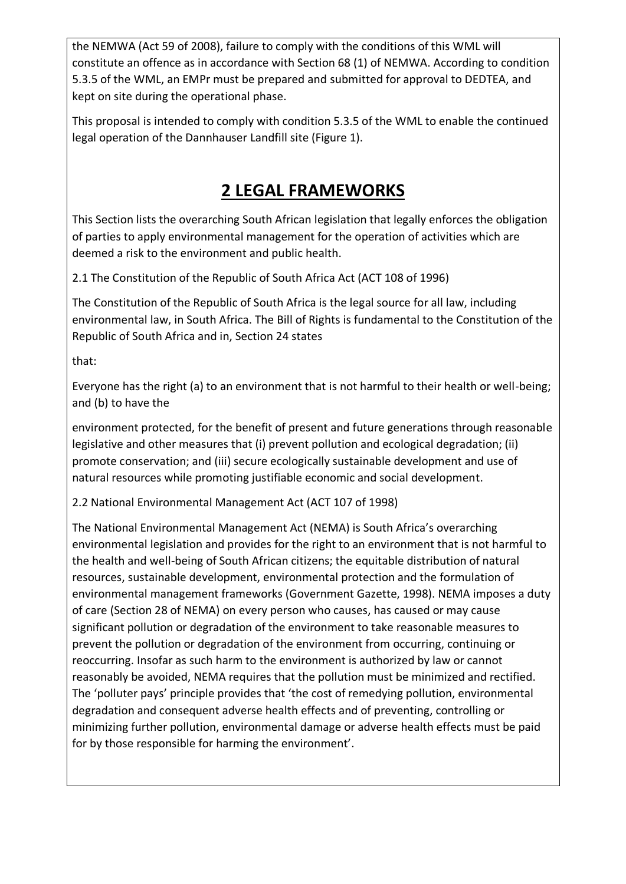the NEMWA (Act 59 of 2008), failure to comply with the conditions of this WML will constitute an offence as in accordance with Section 68 (1) of NEMWA. According to condition 5.3.5 of the WML, an EMPr must be prepared and submitted for approval to DEDTEA, and kept on site during the operational phase.

This proposal is intended to comply with condition 5.3.5 of the WML to enable the continued legal operation of the Dannhauser Landfill site (Figure 1).

## **2 LEGAL FRAMEWORKS**

This Section lists the overarching South African legislation that legally enforces the obligation of parties to apply environmental management for the operation of activities which are deemed a risk to the environment and public health.

2.1 The Constitution of the Republic of South Africa Act (ACT 108 of 1996)

The Constitution of the Republic of South Africa is the legal source for all law, including environmental law, in South Africa. The Bill of Rights is fundamental to the Constitution of the Republic of South Africa and in, Section 24 states

that:

Everyone has the right (a) to an environment that is not harmful to their health or well-being; and (b) to have the

environment protected, for the benefit of present and future generations through reasonable legislative and other measures that (i) prevent pollution and ecological degradation; (ii) promote conservation; and (iii) secure ecologically sustainable development and use of natural resources while promoting justifiable economic and social development.

2.2 National Environmental Management Act (ACT 107 of 1998)

The National Environmental Management Act (NEMA) is South Africa's overarching environmental legislation and provides for the right to an environment that is not harmful to the health and well-being of South African citizens; the equitable distribution of natural resources, sustainable development, environmental protection and the formulation of environmental management frameworks (Government Gazette, 1998). NEMA imposes a duty of care (Section 28 of NEMA) on every person who causes, has caused or may cause significant pollution or degradation of the environment to take reasonable measures to prevent the pollution or degradation of the environment from occurring, continuing or reoccurring. Insofar as such harm to the environment is authorized by law or cannot reasonably be avoided, NEMA requires that the pollution must be minimized and rectified. The 'polluter pays' principle provides that 'the cost of remedying pollution, environmental degradation and consequent adverse health effects and of preventing, controlling or minimizing further pollution, environmental damage or adverse health effects must be paid for by those responsible for harming the environment'.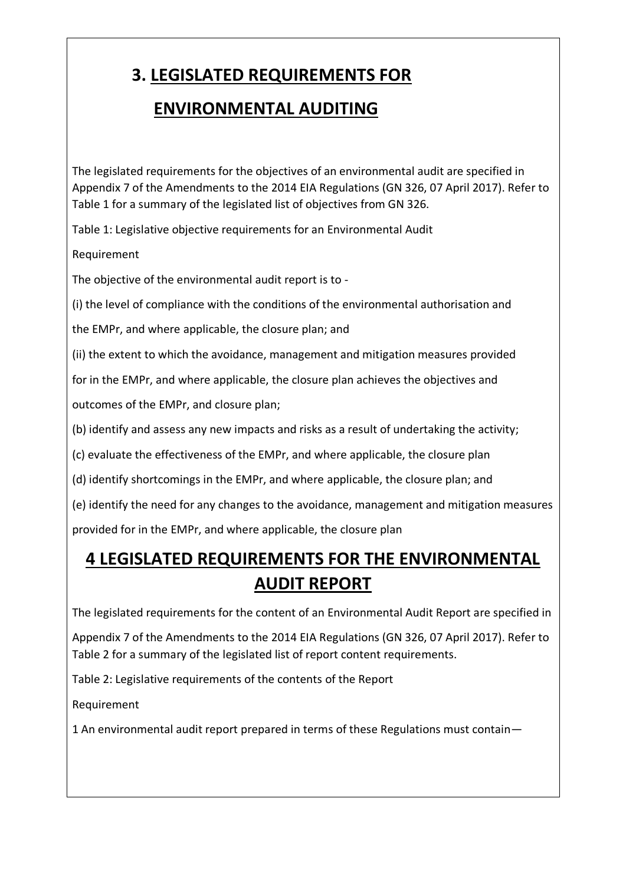# **3. LEGISLATED REQUIREMENTS FOR**

### **ENVIRONMENTAL AUDITING**

The legislated requirements for the objectives of an environmental audit are specified in Appendix 7 of the Amendments to the 2014 EIA Regulations (GN 326, 07 April 2017). Refer to Table 1 for a summary of the legislated list of objectives from GN 326.

Table 1: Legislative objective requirements for an Environmental Audit

Requirement

The objective of the environmental audit report is to -

(i) the level of compliance with the conditions of the environmental authorisation and

the EMPr, and where applicable, the closure plan; and

(ii) the extent to which the avoidance, management and mitigation measures provided

for in the EMPr, and where applicable, the closure plan achieves the objectives and

outcomes of the EMPr, and closure plan;

(b) identify and assess any new impacts and risks as a result of undertaking the activity;

(c) evaluate the effectiveness of the EMPr, and where applicable, the closure plan

(d) identify shortcomings in the EMPr, and where applicable, the closure plan; and

(e) identify the need for any changes to the avoidance, management and mitigation measures

provided for in the EMPr, and where applicable, the closure plan

## **4 LEGISLATED REQUIREMENTS FOR THE ENVIRONMENTAL AUDIT REPORT**

The legislated requirements for the content of an Environmental Audit Report are specified in

Appendix 7 of the Amendments to the 2014 EIA Regulations (GN 326, 07 April 2017). Refer to Table 2 for a summary of the legislated list of report content requirements.

Table 2: Legislative requirements of the contents of the Report

Requirement

1 An environmental audit report prepared in terms of these Regulations must contain—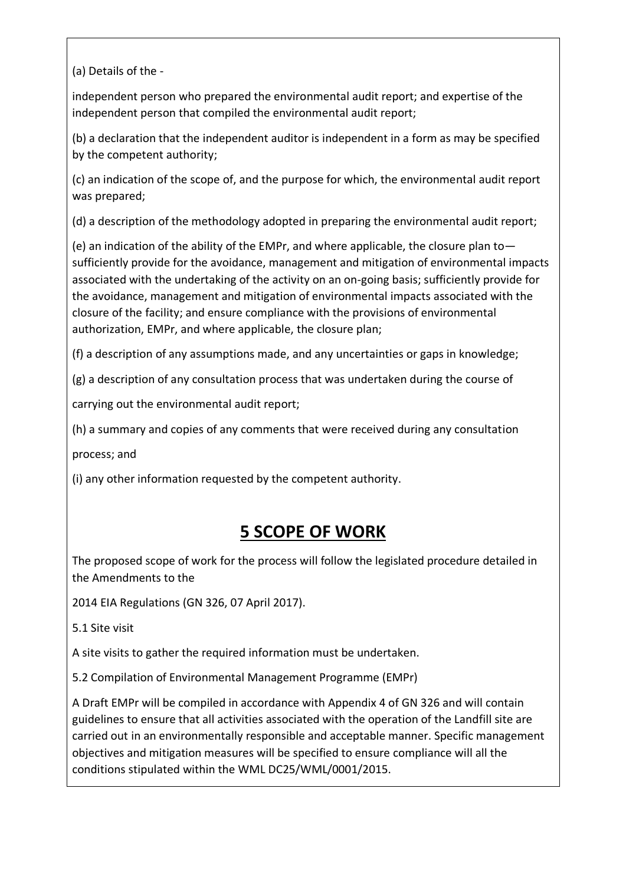(a) Details of the -

independent person who prepared the environmental audit report; and expertise of the independent person that compiled the environmental audit report;

(b) a declaration that the independent auditor is independent in a form as may be specified by the competent authority;

(c) an indication of the scope of, and the purpose for which, the environmental audit report was prepared;

(d) a description of the methodology adopted in preparing the environmental audit report;

(e) an indication of the ability of the EMPr, and where applicable, the closure plan to sufficiently provide for the avoidance, management and mitigation of environmental impacts associated with the undertaking of the activity on an on-going basis; sufficiently provide for the avoidance, management and mitigation of environmental impacts associated with the closure of the facility; and ensure compliance with the provisions of environmental authorization, EMPr, and where applicable, the closure plan;

(f) a description of any assumptions made, and any uncertainties or gaps in knowledge;

(g) a description of any consultation process that was undertaken during the course of

carrying out the environmental audit report;

(h) a summary and copies of any comments that were received during any consultation

process; and

(i) any other information requested by the competent authority.

### **5 SCOPE OF WORK**

The proposed scope of work for the process will follow the legislated procedure detailed in the Amendments to the

2014 EIA Regulations (GN 326, 07 April 2017).

5.1 Site visit

A site visits to gather the required information must be undertaken.

5.2 Compilation of Environmental Management Programme (EMPr)

A Draft EMPr will be compiled in accordance with Appendix 4 of GN 326 and will contain guidelines to ensure that all activities associated with the operation of the Landfill site are carried out in an environmentally responsible and acceptable manner. Specific management objectives and mitigation measures will be specified to ensure compliance will all the conditions stipulated within the WML DC25/WML/0001/2015.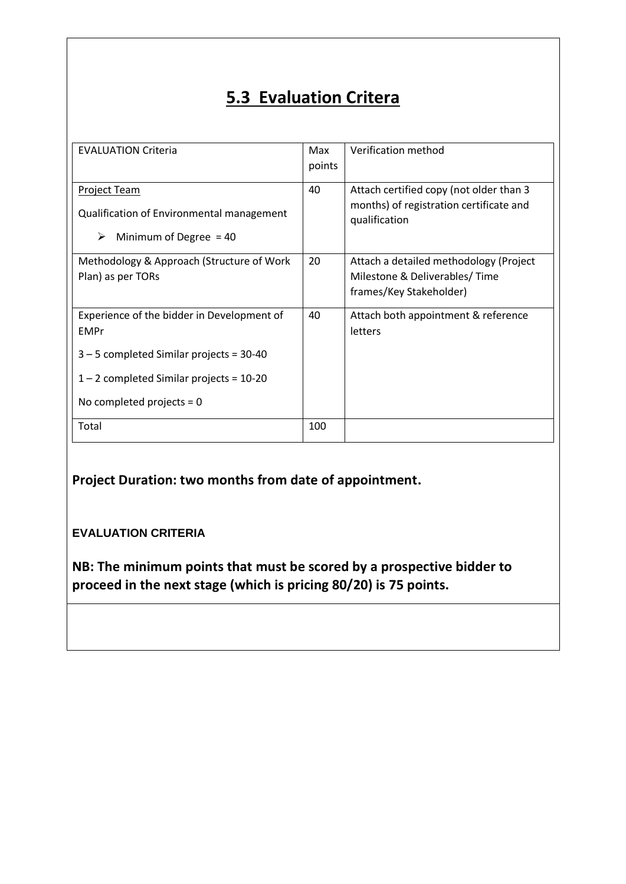## **5.3 Evaluation Critera**

| <b>EVALUATION Criteria</b>                                                                                                                                                           | Max<br>points | Verification method                                                                                 |
|--------------------------------------------------------------------------------------------------------------------------------------------------------------------------------------|---------------|-----------------------------------------------------------------------------------------------------|
| <b>Project Team</b><br>Qualification of Environmental management<br>Minimum of Degree $=$ 40<br>➤                                                                                    | 40            | Attach certified copy (not older than 3<br>months) of registration certificate and<br>qualification |
| Methodology & Approach (Structure of Work<br>Plan) as per TORs                                                                                                                       | 20            | Attach a detailed methodology (Project<br>Milestone & Deliverables/Time<br>frames/Key Stakeholder)  |
| Experience of the bidder in Development of<br><b>EMPr</b><br>$3 - 5$ completed Similar projects = 30-40<br>$1 - 2$ completed Similar projects = 10-20<br>No completed projects = $0$ | 40            | Attach both appointment & reference<br>letters                                                      |
| Total                                                                                                                                                                                | 100           |                                                                                                     |

**Project Duration: two months from date of appointment.**

#### **EVALUATION CRITERIA**

**NB: The minimum points that must be scored by a prospective bidder to proceed in the next stage (which is pricing 80/20) is 75 points.**